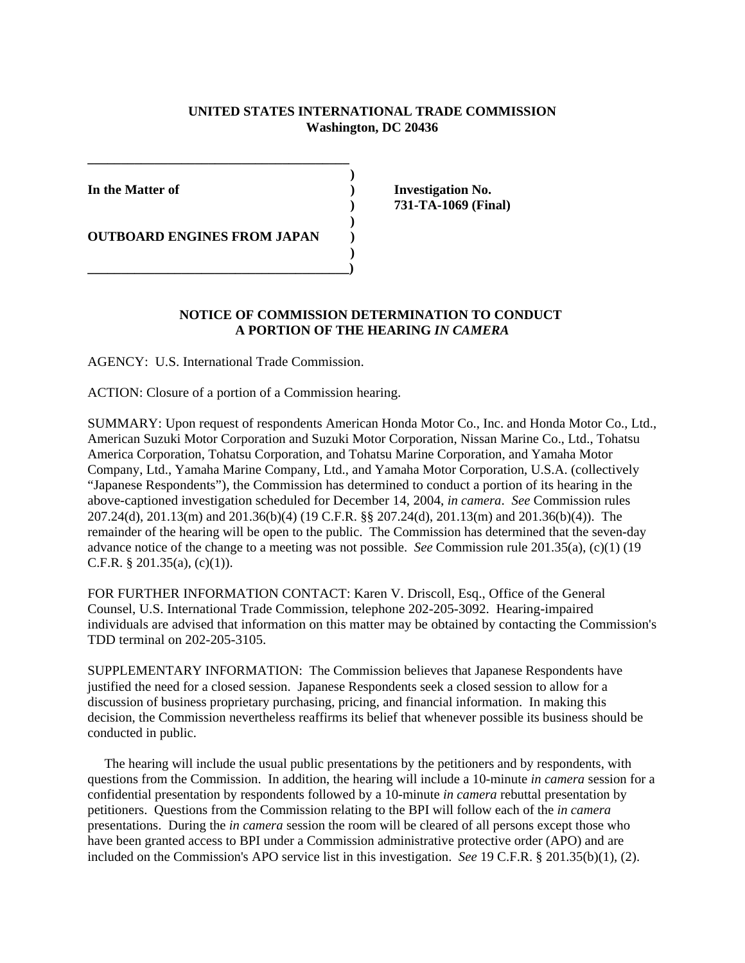## **UNITED STATES INTERNATIONAL TRADE COMMISSION Washington, DC 20436**

**)**

**OUTBOARD ENGINES FROM JAPAN )** 

 **) \_\_\_\_\_\_\_\_\_\_\_\_\_\_\_\_\_\_\_\_\_\_\_\_\_\_\_\_\_\_\_\_\_\_\_\_\_\_\_)** 

**\_\_\_\_\_\_\_\_\_\_\_\_\_\_\_\_\_\_\_\_\_\_\_\_\_\_\_\_\_\_\_\_\_\_\_\_\_\_\_**

In the Matter of **Investigation No. ) 731-TA-1069 (Final)** 

## **NOTICE OF COMMISSION DETERMINATION TO CONDUCT A PORTION OF THE HEARING** *IN CAMERA*

**)** 

AGENCY: U.S. International Trade Commission.

ACTION: Closure of a portion of a Commission hearing.

SUMMARY: Upon request of respondents American Honda Motor Co., Inc. and Honda Motor Co., Ltd., American Suzuki Motor Corporation and Suzuki Motor Corporation, Nissan Marine Co., Ltd., Tohatsu America Corporation, Tohatsu Corporation, and Tohatsu Marine Corporation, and Yamaha Motor Company, Ltd., Yamaha Marine Company, Ltd., and Yamaha Motor Corporation, U.S.A. (collectively "Japanese Respondents"), the Commission has determined to conduct a portion of its hearing in the above-captioned investigation scheduled for December 14, 2004, *in camera*. *See* Commission rules 207.24(d), 201.13(m) and 201.36(b)(4) (19 C.F.R. §§ 207.24(d), 201.13(m) and 201.36(b)(4)). The remainder of the hearing will be open to the public. The Commission has determined that the seven-day advance notice of the change to a meeting was not possible. *See* Commission rule 201.35(a), (c)(1) (19 C.F.R. § 201.35(a),  $(c)(1)$ ).

FOR FURTHER INFORMATION CONTACT: Karen V. Driscoll, Esq., Office of the General Counsel, U.S. International Trade Commission, telephone 202-205-3092. Hearing-impaired individuals are advised that information on this matter may be obtained by contacting the Commission's TDD terminal on 202-205-3105.

SUPPLEMENTARY INFORMATION: The Commission believes that Japanese Respondents have justified the need for a closed session. Japanese Respondents seek a closed session to allow for a discussion of business proprietary purchasing, pricing, and financial information. In making this decision, the Commission nevertheless reaffirms its belief that whenever possible its business should be conducted in public.

 The hearing will include the usual public presentations by the petitioners and by respondents, with questions from the Commission. In addition, the hearing will include a 10-minute *in camera* session for a confidential presentation by respondents followed by a 10-minute *in camera* rebuttal presentation by petitioners. Questions from the Commission relating to the BPI will follow each of the *in camera* presentations. During the *in camera* session the room will be cleared of all persons except those who have been granted access to BPI under a Commission administrative protective order (APO) and are included on the Commission's APO service list in this investigation. *See* 19 C.F.R. § 201.35(b)(1), (2).